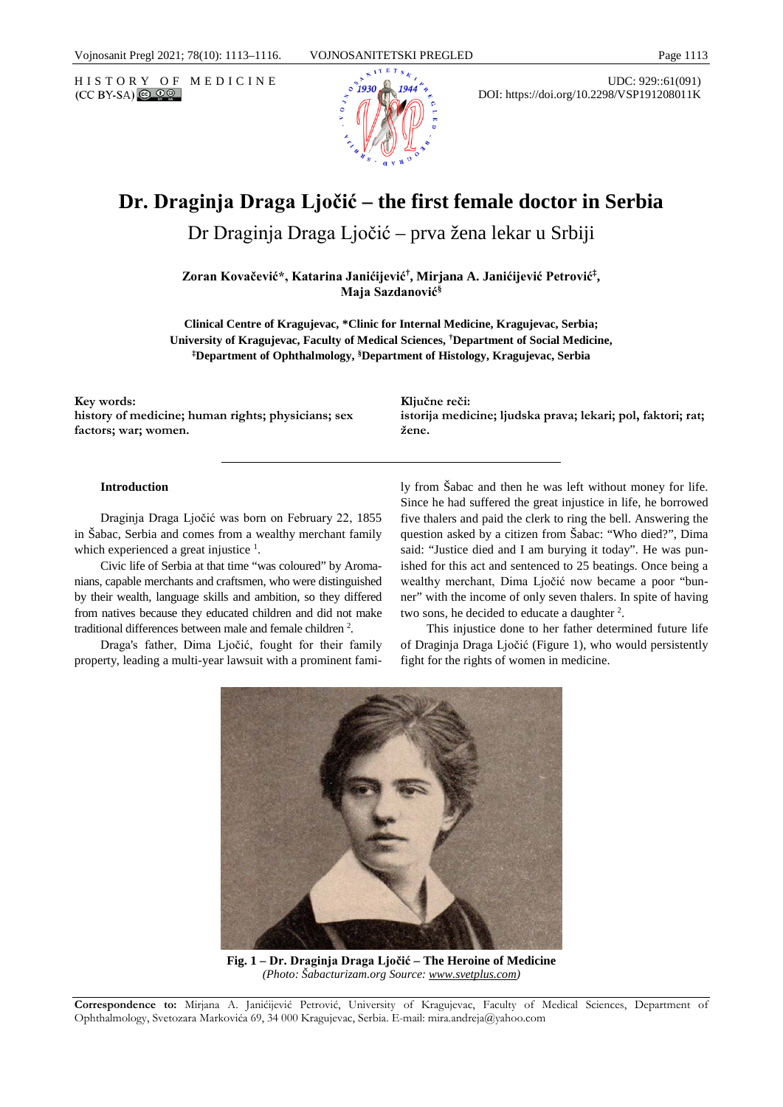

HISTORY OF MEDICINE UDC: 929::61(091)<br>
(CCBY-SA) @ 00 DOI: https://doi.org/10.2298/VSP191208011K

# **Dr. Draginja Draga Ljočić – the first female doctor in Serbia**

Dr Draginja Draga Ljočić – prva žena lekar u Srbiji

**Zoran Kovačević\*, Katarina Janićijević† , Mirjana A. Janićijević Petrović‡ , Maja Sazdanović§**

**Clinical Centre of Kragujevac, \*Clinic for Internal Medicine, Kragujevac, Serbia; University of Kragujevac, Faculty of Medical Sciences, † Department of Social Medicine, ‡Department of Ophthalmology, §Department of Histology, Kragujevac, Serbia**

**Key words: history of medicine; human rights; physicians; sex factors; war; women.**

**Ključne reči: istorija medicine; ljudska prava; lekari; pol, faktori; rat; žene.**

#### **Introduction**

Draginja Draga Ljočić was born on February 22, 1855 in Šabac, Serbia and comes from a wealthy merchant family which experienced a great injustice  $<sup>1</sup>$ .</sup>

Civic life of Serbia at that time "was coloured" by Aromanians, capable merchants and craftsmen, who were distinguished by their wealth, language skills and ambition, so they differed from natives because they educated children and did not make traditional differences between male and female children<sup>2</sup>.

Draga's father, Dima Ljočić, fought for their family property, leading a multi-year lawsuit with a prominent family from Šabac and then he was left without money for life. Since he had suffered the great injustice in life, he borrowed five thalers and paid the clerk to ring the bell. Answering the question asked by a citizen from Šabac: "Who died?", Dima said: "Justice died and I am burying it today". He was punished for this act and sentenced to 25 beatings. Once being a wealthy merchant, Dima Ljočić now became a poor "bunner" with the income of only seven thalers. In spite of having two sons, he decided to educate a daughter <sup>2</sup>.

This injustice done to her father determined future life of Draginja Draga Ljočić (Figure 1), who would persistently fight for the rights of women in medicine.



**Fig. 1 – Dr. Draginja Draga Ljočić – The Heroine of Medicine**  *(Photo: Šabacturizam.org Source[: www.svetplus.com\)](http://www.svetplus.com/)*

**Correspondence to:** Mirjana A. Janićijević Petrović, University of Kragujevac, Faculty of Medical Sciences, Department of Ophthalmology, Svetozara Markovića 69, 34 000 Kragujevac, Serbia. E-mail: mira.andreja@yahoo.com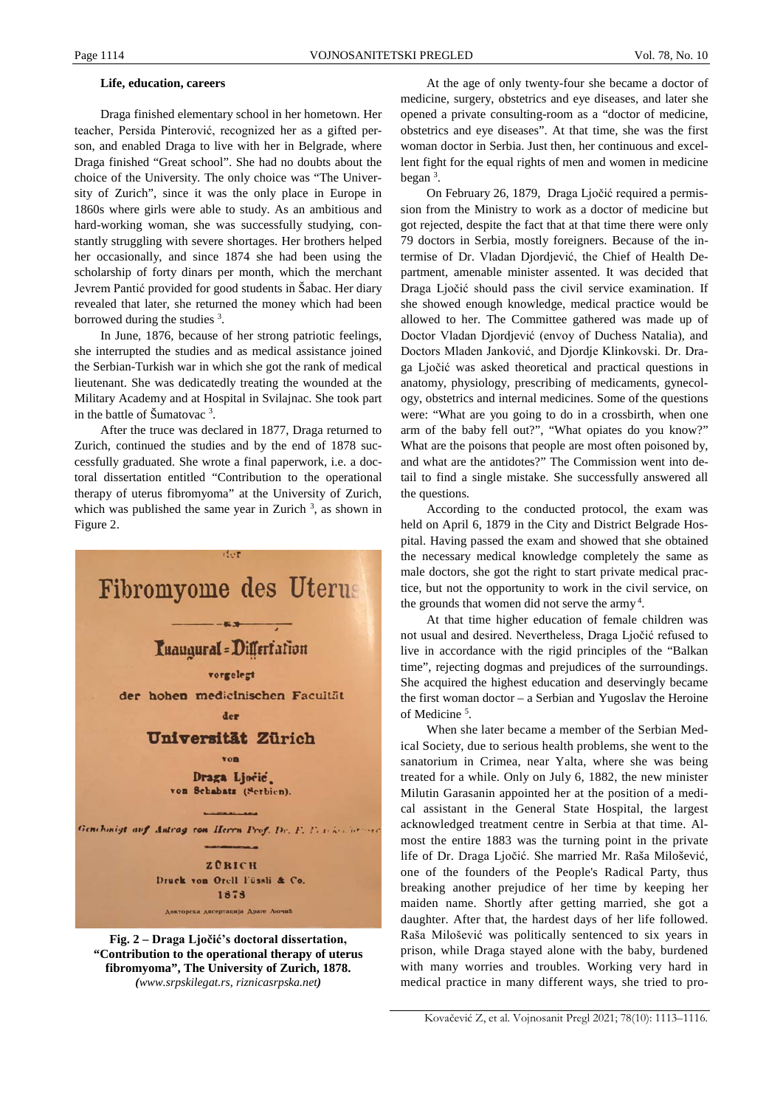#### **Life, education, careers**

Draga finished elementary school in her hometown. Her teacher, Persida Pinterović, recognized her as a gifted person, and enabled Draga to live with her in Belgrade, where Draga finished "Great school". She had no doubts about the choice of the University. The only choice was "The University of Zurich", since it was the only place in Europe in 1860s where girls were able to study. As an ambitious and hard-working woman, she was successfully studying, constantly struggling with severe shortages. Her brothers helped her occasionally, and since 1874 she had been using the scholarship of forty dinars per month, which the merchant Jevrem Pantić provided for good students in Šabac. Her diary revealed that later, she returned the money which had been borrowed during the studies  $3$ .

In June, 1876, because of her strong patriotic feelings, she interrupted the studies and as medical assistance joined the Serbian-Turkish war in which she got the rank of medical lieutenant. She was dedicatedly treating the wounded at the Military Academy and at Hospital in Svilajnac. She took part in the battle of  $\text{Sumatovac}^3$ .

After the truce was declared in 1877, Draga returned to Zurich, continued the studies and by the end of 1878 successfully graduated. She wrote a final paperwork, i.e. a doctoral dissertation entitled "Contribution to the operational therapy of uterus fibromyoma" at the University of Zurich, which was published the same year in Zurich  $3$ , as shown in Figure 2.



**fibromyoma", The University of Zurich, 1878.**  *([www.srpskilegat.rs](https://www.google.com/url?sa=t&rct=j&q=&esrc=s&source=web&cd=6&cad=rja&uact=8&ved=2ahUKEwiOg_u9n6bmAhUqlosKHZv-D_8QFjAFegQIBRAG&url=http%3A%2F%2Fwww.srpskilegat.rs%2Fdraga-ljocic-prva-zena-lekar-u-srbiji%2F%3Fpismo%3Dlat&usg=AOvVaw0VqpioHjoXddPUqINJHhPt)*, *riznicasrpska.net)*

At the age of only twenty-four she became a doctor of medicine, surgery, obstetrics and eye diseases, and later she opened a private consulting-room as a "doctor of medicine, obstetrics and eye diseases". At that time, she was the first woman doctor in Serbia. Just then, her continuous and excellent fight for the equal rights of men and women in medicine began 3 .

On February 26, 1879, Draga Ljočić required a permission from the Ministry to work as a doctor of medicine but got rejected, despite the fact that at that time there were only 79 doctors in Serbia, mostly foreigners. Because of the intermise of Dr. Vladan Djordjević, the Chief of Health Department, amenable minister assented. It was decided that Draga Ljočić should pass the civil service examination. If she showed enough knowledge, medical practice would be allowed to her. The Committee gathered was made up of Doctor Vladan Djordjević (envoy of Duchess Natalia), and Doctors Mladen Janković, and Djordje Klinkovski. Dr. Draga Ljočić was asked theoretical and practical questions in anatomy, physiology, prescribing of medicaments, gynecology, obstetrics and internal medicines. Some of the questions were: "What are you going to do in a crossbirth, when one arm of the baby fell out?", "What opiates do you know?" What are the poisons that people are most often poisoned by, and what are the antidotes?" The Commission went into detail to find a single mistake. She successfully answered all the questions.

According to the conducted protocol, the exam was held on April 6, 1879 in the City and District Belgrade Hospital. Having passed the exam and showed that she obtained the necessary medical knowledge completely the same as male doctors, she got the right to start private medical practice, but not the opportunity to work in the civil service, on the grounds that women did not serve the army<sup>4</sup>.

At that time higher education of female children was not usual and desired. Nevertheless, Draga Ljočić refused to live in accordance with the rigid principles of the "Balkan time", rejecting dogmas and prejudices of the surroundings. She acquired the highest education and deservingly became the first woman doctor – a Serbian and Yugoslav the Heroine of Medicine <sup>5</sup> .

When she later became a member of the Serbian Medical Society, due to serious health problems, she went to the sanatorium in Crimea, near Yalta, where she was being treated for a while. Only on July 6, 1882, the new minister Milutin Garasanin appointed her at the position of a medical assistant in the General State Hospital, the largest acknowledged treatment centre in Serbia at that time. Almost the entire 1883 was the turning point in the private life of Dr. Draga Ljočić. She married Mr. Raša Milošević, one of the founders of the People's Radical Party, thus breaking another prejudice of her time by keeping her maiden name. Shortly after getting married, she got a daughter. After that, the hardest days of her life followed. Raša Milošević was politically sentenced to six years in prison, while Draga stayed alone with the baby, burdened with many worries and troubles. Working very hard in medical practice in many different ways, she tried to pro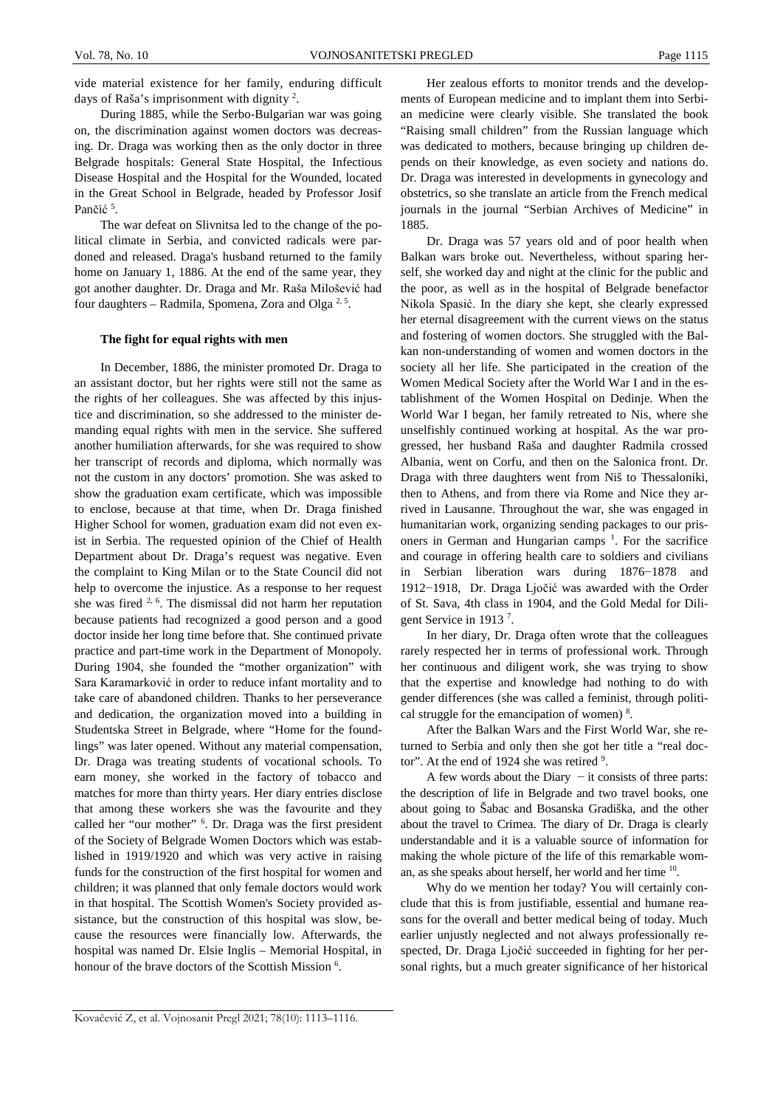vide material existence for her family, enduring difficult days of Raša's imprisonment with dignity  $2$ .

During 1885, while the Serbo-Bulgarian war was going on, the discrimination against women doctors was decreasing. Dr. Draga was working then as the only doctor in three Belgrade hospitals: General State Hospital, the Infectious Disease Hospital and the Hospital for the Wounded, located in the Great School in Belgrade, headed by Professor Josif Pančić<sup>5</sup>.

The war defeat on Slivnitsa led to the change of the political climate in Serbia, and convicted radicals were pardoned and released. Draga's husband returned to the family home on January 1, 1886. At the end of the same year, they got another daughter. Dr. Draga and Mr. Raša Milošević had four daughters – Radmila, Spomena, Zora and Olga<sup>2,5</sup>.

#### **The fight for equal rights with men**

In December, 1886, the minister promoted Dr. Draga to an assistant doctor, but her rights were still not the same as the rights of her colleagues. She was affected by this injustice and discrimination, so she addressed to the minister demanding equal rights with men in the service. She suffered another humiliation afterwards, for she was required to show her transcript of records and diploma, which normally was not the custom in any doctors' promotion. She was asked to show the graduation exam certificate, which was impossible to enclose, because at that time, when Dr. Draga finished Higher School for women, graduation exam did not even exist in Serbia. The requested opinion of the Chief of Health Department about Dr. Draga's request was negative. Even the complaint to King Milan or to the State Council did not help to overcome the injustice. As a response to her request she was fired 2, 6. The dismissal did not harm her reputation because patients had recognized a good person and a good doctor inside her long time before that. She continued private practice and part-time work in the Department of Monopoly. During 1904, she founded the "mother organization" with Sara Karamarković in order to reduce infant mortality and to take care of abandoned children. Thanks to her perseverance and dedication, the organization moved into a building in Studentska Street in Belgrade, where "Home for the foundlings" was later opened. Without any material compensation, Dr. Draga was treating students of vocational schools. To earn money, she worked in the factory of tobacco and matches for more than thirty years. Her diary entries disclose that among these workers she was the favourite and they called her "our mother" 6 . Dr. Draga was the first president of the Society of Belgrade Women Doctors which was established in 1919/1920 and which was very active in raising funds for the construction of the first hospital for women and children; it was planned that only female doctors would work in that hospital. The Scottish Women's Society provided assistance, but the construction of this hospital was slow, because the resources were financially low. Afterwards, the hospital was named Dr. Elsie Inglis – Memorial Hospital, in honour of the brave doctors of the Scottish Mission<sup>6</sup>.

Her zealous efforts to monitor trends and the developments of European medicine and to implant them into Serbian medicine were clearly visible. She translated the book "Raising small children" from the Russian language which was dedicated to mothers, because bringing up children depends on their knowledge, as even society and nations do. Dr. Draga was interested in developments in gynecology and obstetrics, so she translate an article from the French medical journals in the journal "Serbian Archives of Medicine" in 1885.

Dr. Draga was 57 years old and of poor health when Balkan wars broke out. Nevertheless, without sparing herself, she worked day and night at the clinic for the public and the poor, as well as in the hospital of Belgrade benefactor Nikola Spasić. In the diary she kept, she clearly expressed her eternal disagreement with the current views on the status and fostering of women doctors. She struggled with the Balkan non-understanding of women and women doctors in the society all her life. She participated in the creation of the Women Medical Society after the World War I and in the establishment of the Women Hospital on Dedinje. When the World War I began, her family retreated to Nis, where she unselfishly continued working at hospital. As the war progressed, her husband Raša and daughter Radmila crossed Albania, went on Corfu, and then on the Salonica front. Dr. Draga with three daughters went from Niš to Thessaloniki, then to Athens, and from there via Rome and Nice they arrived in Lausanne. Throughout the war, she was engaged in humanitarian work, organizing sending packages to our prisoners in German and Hungarian camps <sup>1</sup>. For the sacrifice and courage in offering health care to soldiers and civilians in Serbian liberation wars during 1876−1878 and 1912−1918, Dr. Draga Ljočić was awarded with the Order of St. Sava, 4th class in 1904, and the Gold Medal for Diligent Service in 1913<sup>7</sup>.

In her diary, Dr. Draga often wrote that the colleagues rarely respected her in terms of professional work. Through her continuous and diligent work, she was trying to show that the expertise and knowledge had nothing to do with gender differences (she was called a feminist, through political struggle for the emancipation of women)<sup>8</sup>.

After the Balkan Wars and the First World War, she returned to Serbia and only then she got her title a "real doctor". At the end of 1924 she was retired <sup>9</sup>.

A few words about the Diary − it consists of three parts: the description of life in Belgrade and two travel books, one about going to Šabac and Bosanska Gradiška, and the other about the travel to Crimea. The diary of Dr. Draga is clearly understandable and it is a valuable source of information for making the whole picture of the life of this remarkable woman, as she speaks about herself, her world and her time 10.

Why do we mention her today? You will certainly conclude that this is from justifiable, essential and humane reasons for the overall and better medical being of today. Much earlier unjustly neglected and not always professionally respected, Dr. Draga Ljočić succeeded in fighting for her personal rights, but a much greater significance of her historical